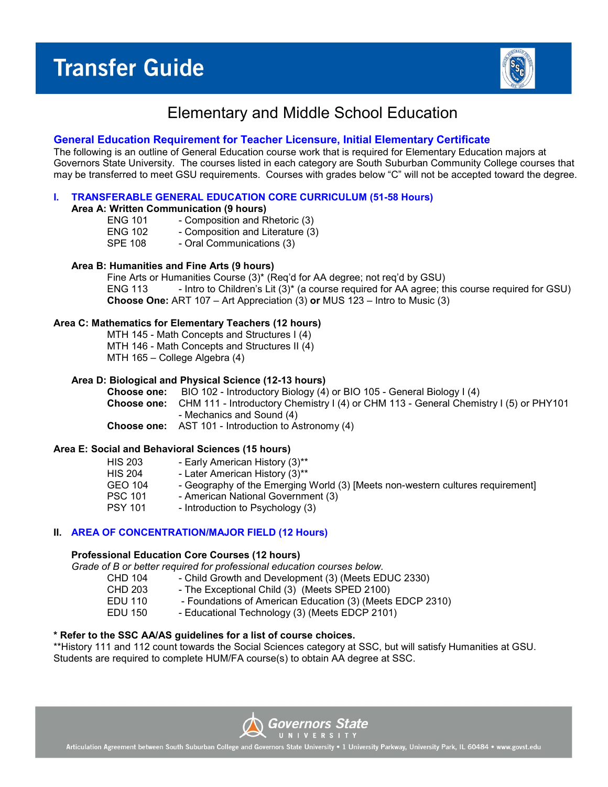

# Elementary and Middle School Education

# **General Education Requirement for Teacher Licensure, Initial Elementary Certificate**

The following is an outline of General Education course work that is required for Elementary Education majors at Governors State University. The courses listed in each category are South Suburban Community College courses that may be transferred to meet GSU requirements. Courses with grades below "C" will not be accepted toward the degree.

# **I. TRANSFERABLE GENERAL EDUCATION CORE CURRICULUM (51-58 Hours)**

**Area A: Written Communication (9 hours)**

- ENG 101 Composition and Rhetoric (3)
- ENG 102 Composition and Literature (3)<br>SPE 108 Oral Communications (3) - Oral Communications (3)
- 

# **Area B: Humanities and Fine Arts (9 hours)**

Fine Arts or Humanities Course (3)\* (Req'd for AA degree; not req'd by GSU) ENG 113 - Intro to Children's Lit (3)\* (a course required for AA agree; this course required for GSU) **Choose One:** ART 107 – Art Appreciation (3) **or** MUS 123 – Intro to Music (3)

# **Area C: Mathematics for Elementary Teachers (12 hours)**

MTH 145 - Math Concepts and Structures I (4) MTH 146 - Math Concepts and Structures II (4) MTH 165 – College Algebra (4)

# **Area D: Biological and Physical Science (12-13 hours)**

**Choose one:** BIO 102 - Introductory Biology (4) or BIO 105 - General Biology I (4) **Choose one:** CHM 111 - Introductory Chemistry I (4) or CHM 113 - General Chemistry I (5) or PHY101 - Mechanics and Sound (4)

**Choose one:** AST 101 - Introduction to Astronomy (4)

# **Area E: Social and Behavioral Sciences (15 hours)**

| <b>HIS 203</b> | - Early American History (3)**                                                 |
|----------------|--------------------------------------------------------------------------------|
| <b>HIS 204</b> | - Later American History (3)**                                                 |
| GEO 104        | - Geography of the Emerging World (3) [Meets non-western cultures requirement] |
| <b>PSC 101</b> | - American National Government (3)                                             |
| <b>PSY 101</b> | - Introduction to Psychology (3)                                               |
|                |                                                                                |

# **II. AREA OF CONCENTRATION/MAJOR FIELD (12 Hours)**

#### **Professional Education Core Courses (12 hours)**

*Grade of B or better required for professional education courses below.*

- CHD 104 Child Growth and Development (3) (Meets EDUC 2330)<br>CHD 203 The Exceptional Child (3) (Meets SPED 2100)
- CHD 203 The Exceptional Child (3) (Meets SPED 2100)<br>EDU 110 Foundations of American Education (3) (Meets
- EDU 110 Foundations of American Education (3) (Meets EDCP 2310)<br>EDU 150 Educational Technology (3) (Meets EDCP 2101)
	- Educational Technology (3) (Meets EDCP 2101)

#### **\* Refer to the SSC AA/AS guidelines for a list of course choices.**

\*\*History 111 and 112 count towards the Social Sciences category at SSC, but will satisfy Humanities at GSU. Students are required to complete HUM/FA course(s) to obtain AA degree at SSC.

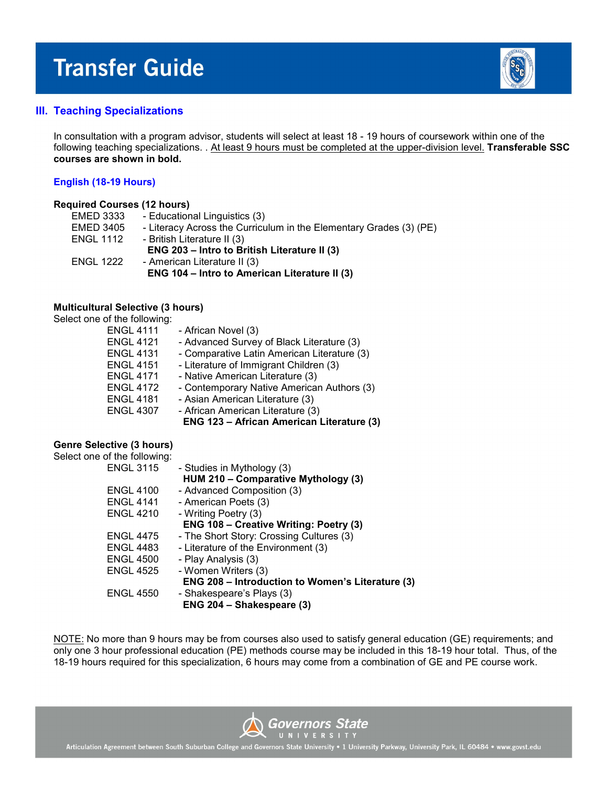

# **III. Teaching Specializations**

In consultation with a program advisor, students will select at least 18 - 19 hours of coursework within one of the following teaching specializations. . At least 9 hours must be completed at the upper-division level. **Transferable SSC courses are shown in bold.**

#### **English (18-19 Hours)**

#### **Required Courses (12 hours)**

| <b>EMED 3333</b> | - Educational Linguistics (3)                                      |
|------------------|--------------------------------------------------------------------|
| <b>EMED 3405</b> | - Literacy Across the Curriculum in the Elementary Grades (3) (PE) |
| <b>ENGL 1112</b> | - British Literature II (3)                                        |
|                  | ENG 203 - Intro to British Literature II (3)                       |
| <b>ENGL 1222</b> | - American Literature II (3)                                       |
|                  | ENG 104 - Intro to American Literature II (3)                      |
|                  |                                                                    |

### **Multicultural Selective (3 hours)**

# Select one of the following:

| <b>ENGL 4111</b> | - African Novel (3)                         |
|------------------|---------------------------------------------|
| <b>ENGL 4121</b> | - Advanced Survey of Black Literature (3)   |
| <b>ENGL 4131</b> | - Comparative Latin American Literature (3) |
| <b>ENGL 4151</b> | - Literature of Immigrant Children (3)      |
| <b>ENGL 4171</b> | - Native American Literature (3)            |
| <b>ENGL 4172</b> | - Contemporary Native American Authors (3)  |
| <b>ENGL 4181</b> | - Asian American Literature (3)             |
| <b>ENGL 4307</b> | - African American Literature (3)           |
|                  | ENG 123 - African American Literature (3)   |
|                  |                                             |

#### **Genre Selective (3 hours)**

| Select one of the following: |                                                  |
|------------------------------|--------------------------------------------------|
| <b>ENGL 3115</b>             | - Studies in Mythology (3)                       |
|                              | HUM 210 - Comparative Mythology (3)              |
| <b>ENGL 4100</b>             | - Advanced Composition (3)                       |
| <b>ENGL 4141</b>             | - American Poets (3)                             |
| <b>ENGL 4210</b>             | - Writing Poetry (3)                             |
|                              | ENG 108 - Creative Writing: Poetry (3)           |
| <b>ENGL 4475</b>             | - The Short Story: Crossing Cultures (3)         |
| <b>ENGL 4483</b>             | - Literature of the Environment (3)              |
| <b>ENGL 4500</b>             | - Play Analysis (3)                              |
| <b>ENGL 4525</b>             | - Women Writers (3)                              |
|                              | ENG 208 - Introduction to Women's Literature (3) |
| <b>ENGL 4550</b>             | - Shakespeare's Plays (3)                        |
|                              | ENG 204 - Shakespeare (3)                        |
|                              |                                                  |

NOTE: No more than 9 hours may be from courses also used to satisfy general education (GE) requirements; and only one 3 hour professional education (PE) methods course may be included in this 18-19 hour total. Thus, of the 18-19 hours required for this specialization, 6 hours may come from a combination of GE and PE course work.

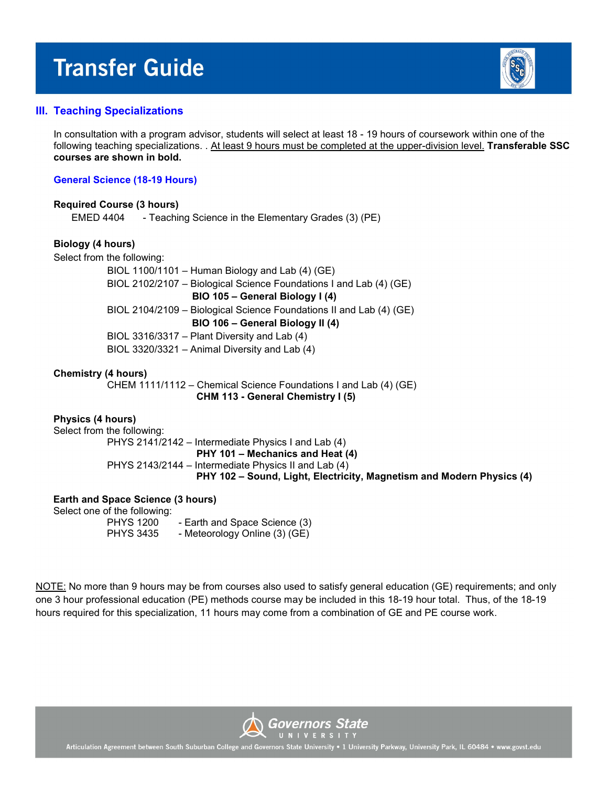

# **III. Teaching Specializations**

In consultation with a program advisor, students will select at least 18 - 19 hours of coursework within one of the following teaching specializations. . At least 9 hours must be completed at the upper-division level. **Transferable SSC courses are shown in bold.**

# **General Science (18-19 Hours)**

#### **Required Course (3 hours)**

EMED 4404 - Teaching Science in the Elementary Grades (3) (PE)

# **Biology (4 hours)**

Select from the following:

 BIOL 1100/1101 – Human Biology and Lab (4) (GE) BIOL 2102/2107 – Biological Science Foundations I and Lab (4) (GE) **BIO 105 – General Biology I (4)**  BIOL 2104/2109 – Biological Science Foundations II and Lab (4) (GE) **BIO 106 – General Biology II (4)** BIOL 3316/3317 – Plant Diversity and Lab (4) BIOL 3320/3321 – Animal Diversity and Lab (4)

# **Chemistry (4 hours)**

CHEM 1111/1112 – Chemical Science Foundations I and Lab (4) (GE) **CHM 113 - General Chemistry I (5)**

#### **Physics (4 hours)**

Select from the following:

 PHYS 2141/2142 – Intermediate Physics I and Lab (4) **PHY 101 – Mechanics and Heat (4)** PHYS 2143/2144 – Intermediate Physics II and Lab (4) **PHY 102 – Sound, Light, Electricity, Magnetism and Modern Physics (4)** 

# **Earth and Space Science (3 hours)**

Select one of the following:

PHYS 1200 - Earth and Space Science (3) PHYS 3435 - Meteorology Online (3) (GE)

NOTE: No more than 9 hours may be from courses also used to satisfy general education (GE) requirements; and only one 3 hour professional education (PE) methods course may be included in this 18-19 hour total. Thus, of the 18-19 hours required for this specialization, 11 hours may come from a combination of GE and PE course work.

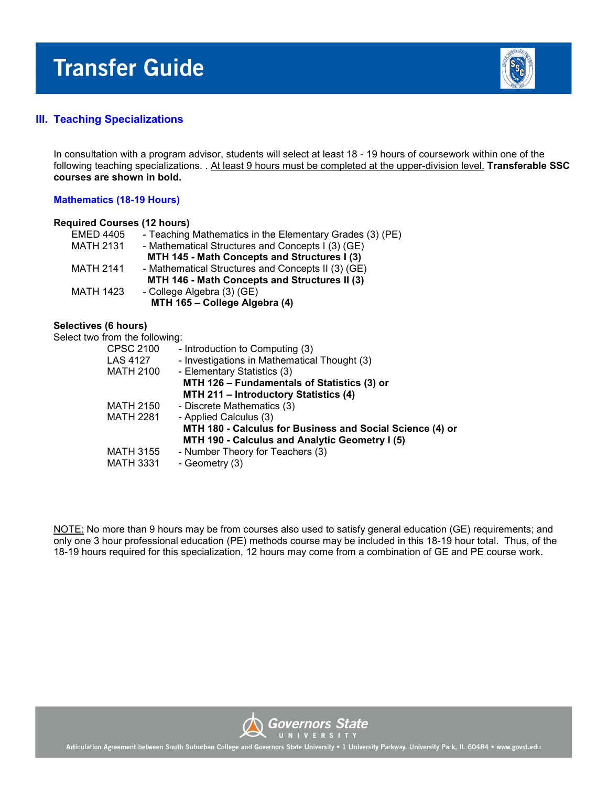

# **III. Teaching Specializations**

In consultation with a program advisor, students will select at least 18 - 19 hours of coursework within one of the following teaching specializations. . At least 9 hours must be completed at the upper-division level. **Transferable SSC courses are shown in bold.**

# **Mathematics (18-19 Hours)**

| <b>Required Courses (12 hours)</b> |                                                          |
|------------------------------------|----------------------------------------------------------|
| <b>EMED 4405</b>                   | - Teaching Mathematics in the Elementary Grades (3) (PE) |
| <b>MATH 2131</b>                   | - Mathematical Structures and Concepts I (3) (GE)        |
|                                    | MTH 145 - Math Concepts and Structures I (3)             |
| <b>MATH 2141</b>                   | - Mathematical Structures and Concepts II (3) (GE)       |
|                                    | MTH 146 - Math Concepts and Structures II (3)            |
| <b>MATH 1423</b>                   | - College Algebra (3) (GE)                               |
|                                    | MTH 165 - College Algebra (4)                            |
|                                    |                                                          |

# **Selectives (6 hours)**

Select two from the following:

| CPSC 2100        | - Introduction to Computing (3)                           |
|------------------|-----------------------------------------------------------|
| <b>LAS 4127</b>  | - Investigations in Mathematical Thought (3)              |
| MATH 2100        | - Elementary Statistics (3)                               |
|                  | MTH 126 - Fundamentals of Statistics (3) or               |
|                  | MTH 211 - Introductory Statistics (4)                     |
| <b>MATH 2150</b> | - Discrete Mathematics (3)                                |
| <b>MATH 2281</b> | - Applied Calculus (3)                                    |
|                  | MTH 180 - Calculus for Business and Social Science (4) or |
|                  | MTH 190 - Calculus and Analytic Geometry I (5)            |
| <b>MATH 3155</b> | - Number Theory for Teachers (3)                          |
| <b>MATH 3331</b> | - Geometry (3)                                            |
|                  |                                                           |

NOTE: No more than 9 hours may be from courses also used to satisfy general education (GE) requirements; and only one 3 hour professional education (PE) methods course may be included in this 18-19 hour total. Thus, of the 18-19 hours required for this specialization, 12 hours may come from a combination of GE and PE course work.

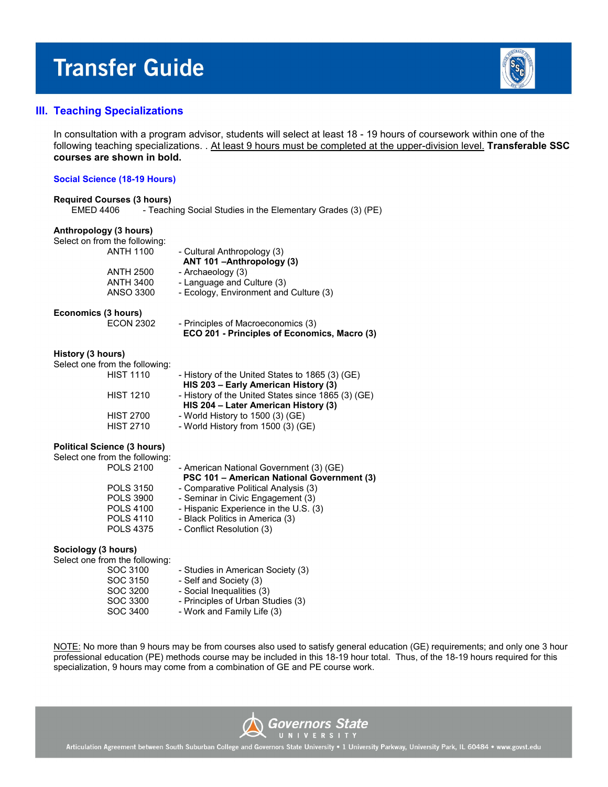

# **III. Teaching Specializations**

In consultation with a program advisor, students will select at least 18 - 19 hours of coursework within one of the following teaching specializations. . At least 9 hours must be completed at the upper-division level. **Transferable SSC courses are shown in bold.**

#### **Social Science (18-19 Hours)**

| <b>Required Courses (3 hours)</b> |                                                             |
|-----------------------------------|-------------------------------------------------------------|
| EMED 4406                         | - Teaching Social Studies in the Elementary Grades (3) (PE) |

#### **Anthropology (3 hours)**

Select on from the following:

| <b>ANTH 1100</b>    | - Cultural Anthropology (3)<br>ANT 101-Anthropology (3) |
|---------------------|---------------------------------------------------------|
| <b>ANTH 2500</b>    |                                                         |
|                     | - Archaeology (3)                                       |
| <b>ANTH 3400</b>    | - Language and Culture (3)                              |
| <b>ANSO 3300</b>    | - Ecology, Environment and Culture (3)                  |
| Economics (3 hours) |                                                         |
| <b>ECON 2302</b>    | - Principles of Macroeconomics (3)                      |
|                     | ECO 201 - Principles of Economics, Macro (3)            |

#### **History (3 hours)**

| Select one from the following: |                                                    |
|--------------------------------|----------------------------------------------------|
| <b>HIST 1110</b>               | - History of the United States to 1865 (3) (GE)    |
|                                | HIS 203 - Early American History (3)               |
| <b>HIST 1210</b>               | - History of the United States since 1865 (3) (GE) |
|                                | HIS 204 - Later American History (3)               |
| <b>HIST 2700</b>               | - World History to $1500(3)(GE)$                   |
| <b>HIST 2710</b>               | - World History from 1500 (3) (GE)                 |

#### **Political Science (3 hours)**

| Select one from the following: |                                            |
|--------------------------------|--------------------------------------------|
| <b>POLS 2100</b>               | - American National Government (3) (GE)    |
|                                | PSC 101 - American National Government (3) |
| <b>POLS 3150</b>               | - Comparative Political Analysis (3)       |
| <b>POLS 3900</b>               | - Seminar in Civic Engagement (3)          |
| <b>POLS 4100</b>               | - Hispanic Experience in the U.S. (3)      |
| <b>POLS 4110</b>               | - Black Politics in America (3)            |
| <b>POLS 4375</b>               | - Conflict Resolution (3)                  |
|                                |                                            |

#### **Sociology (3 hours)**

| Select one from the following: |                                   |
|--------------------------------|-----------------------------------|
| SOC 3100                       | - Studies in American Society (3) |
| SOC 3150                       | - Self and Society (3)            |
| SOC 3200                       | - Social Inequalities (3)         |
| SOC 3300                       | - Principles of Urban Studies (3) |
| SOC 3400                       | - Work and Family Life (3)        |

NOTE: No more than 9 hours may be from courses also used to satisfy general education (GE) requirements; and only one 3 hour professional education (PE) methods course may be included in this 18-19 hour total. Thus, of the 18-19 hours required for this specialization, 9 hours may come from a combination of GE and PE course work.

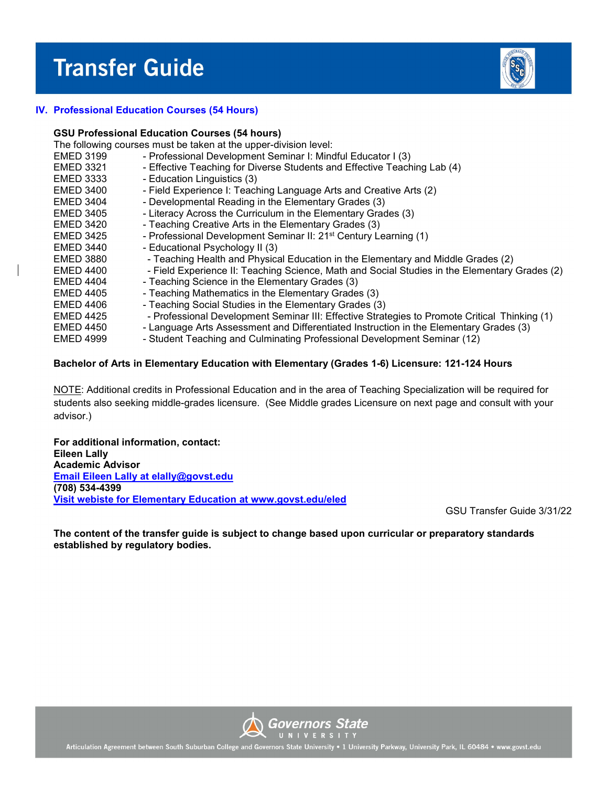

# **IV. Professional Education Courses (54 Hours)**

#### **GSU Professional Education Courses (54 hours)**

The following courses must be taken at the upper-division level:

- EMED 3199 Professional Development Seminar I: Mindful Educator I (3)
- EMED 3321 Effective Teaching for Diverse Students and Effective Teaching Lab (4)
- EMED 3333 Education Linguistics (3)
- EMED 3400 Field Experience I: Teaching Language Arts and Creative Arts (2)
- EMED 3404 Developmental Reading in the Elementary Grades (3)
- EMED 3405 Literacy Across the Curriculum in the Elementary Grades (3)
- EMED 3420 Teaching Creative Arts in the Elementary Grades (3)
- EMED 3425 Professional Development Seminar II: 21st Century Learning (1)
- EMED 3440 Educational Psychology II (3)
- EMED 3880 Teaching Health and Physical Education in the Elementary and Middle Grades (2)
- EMED 4400 Field Experience II: Teaching Science, Math and Social Studies in the Elementary Grades (2)
- EMED 4404 Teaching Science in the Elementary Grades (3)
- EMED 4405 Teaching Mathematics in the Elementary Grades (3)
- EMED 4406 Teaching Social Studies in the Elementary Grades (3)
- EMED 4425 Professional Development Seminar III: Effective Strategies to Promote Critical Thinking (1)
- EMED 4450 Language Arts Assessment and Differentiated Instruction in the Elementary Grades (3)
- EMED 4999 Student Teaching and Culminating Professional Development Seminar (12)

# **Bachelor of Arts in Elementary Education with Elementary (Grades 1-6) Licensure: 121-124 Hours**

NOTE: Additional credits in Professional Education and in the area of Teaching Specialization will be required for students also seeking middle-grades licensure. (See Middle grades Licensure on next page and consult with your advisor.)

**For additional information, contact: Eileen Lally Academic Advisor [Email Eileen Lally at elally@govst.edu](mailto:elally@govst.edu)  (708) 534-4399 [Visit webiste for Elementary Education at www.govst.edu/eled](http://www.govst.edu/eled)**

GSU Transfer Guide 3/31/22

**The content of the transfer guide is subject to change based upon curricular or preparatory standards established by regulatory bodies.**